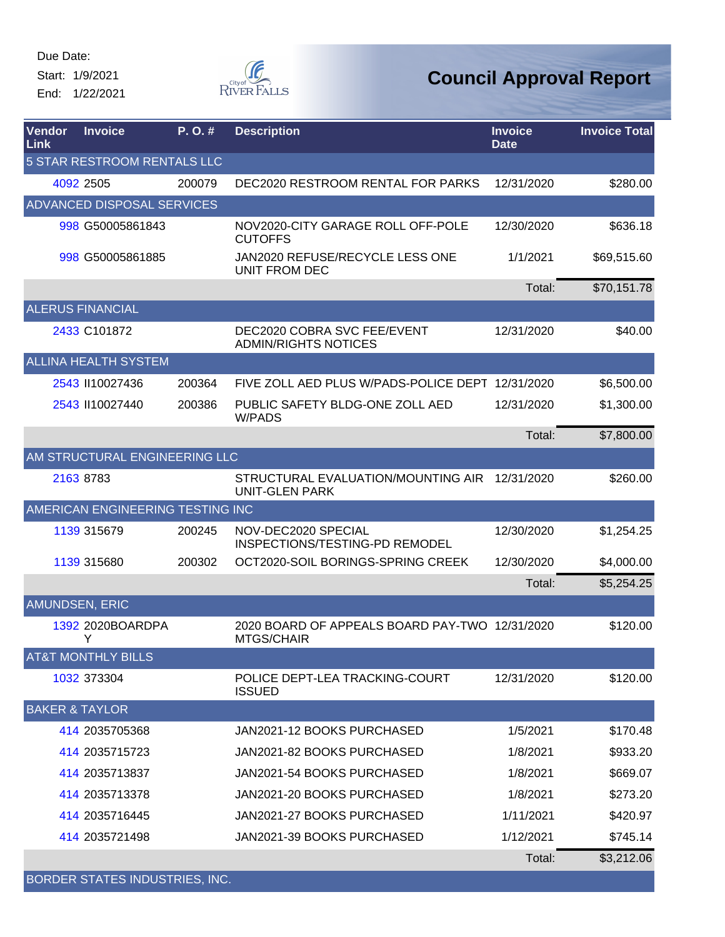Start: 1/9/2021 End: 1/22/2021



| Vendor<br>Link | <b>Invoice</b>                    | P.O.#  | <b>Description</b>                                                  | <b>Invoice</b><br><b>Date</b> | <b>Invoice Total</b> |
|----------------|-----------------------------------|--------|---------------------------------------------------------------------|-------------------------------|----------------------|
|                | 5 STAR RESTROOM RENTALS LLC       |        |                                                                     |                               |                      |
|                | 4092 2505                         | 200079 | DEC2020 RESTROOM RENTAL FOR PARKS                                   | 12/31/2020                    | \$280.00             |
|                | <b>ADVANCED DISPOSAL SERVICES</b> |        |                                                                     |                               |                      |
|                | 998 G50005861843                  |        | NOV2020-CITY GARAGE ROLL OFF-POLE<br><b>CUTOFFS</b>                 | 12/30/2020                    | \$636.18             |
|                | 998 G50005861885                  |        | JAN2020 REFUSE/RECYCLE LESS ONE<br><b>UNIT FROM DEC</b>             | 1/1/2021                      | \$69,515.60          |
|                |                                   |        |                                                                     | Total:                        | \$70,151.78          |
|                | <b>ALERUS FINANCIAL</b>           |        |                                                                     |                               |                      |
|                | 2433 C101872                      |        | DEC2020 COBRA SVC FEE/EVENT<br><b>ADMIN/RIGHTS NOTICES</b>          | 12/31/2020                    | \$40.00              |
|                | <b>ALLINA HEALTH SYSTEM</b>       |        |                                                                     |                               |                      |
|                | 2543 110027436                    | 200364 | FIVE ZOLL AED PLUS W/PADS-POLICE DEPT 12/31/2020                    |                               | \$6,500.00           |
|                | 2543 II10027440                   | 200386 | PUBLIC SAFETY BLDG-ONE ZOLL AED<br>W/PADS                           | 12/31/2020                    | \$1,300.00           |
|                |                                   |        |                                                                     | Total:                        | \$7,800.00           |
|                | AM STRUCTURAL ENGINEERING LLC     |        |                                                                     |                               |                      |
|                | 2163 8783                         |        | STRUCTURAL EVALUATION/MOUNTING AIR<br><b>UNIT-GLEN PARK</b>         | 12/31/2020                    | \$260.00             |
|                | AMERICAN ENGINEERING TESTING INC  |        |                                                                     |                               |                      |
|                | 1139 315679                       | 200245 | NOV-DEC2020 SPECIAL<br>INSPECTIONS/TESTING-PD REMODEL               | 12/30/2020                    | \$1,254.25           |
|                | 1139 315680                       | 200302 | OCT2020-SOIL BORINGS-SPRING CREEK                                   | 12/30/2020                    | \$4,000.00           |
|                |                                   |        |                                                                     | Total:                        | \$5,254.25           |
|                | <b>AMUNDSEN, ERIC</b>             |        |                                                                     |                               |                      |
|                | 1392 2020BOARDPA<br>Y             |        | 2020 BOARD OF APPEALS BOARD PAY-TWO 12/31/2020<br><b>MTGS/CHAIR</b> |                               | \$120.00             |
|                | <b>AT&amp;T MONTHLY BILLS</b>     |        |                                                                     |                               |                      |
|                | 1032 373304                       |        | POLICE DEPT-LEA TRACKING-COURT<br><b>ISSUED</b>                     | 12/31/2020                    | \$120.00             |
|                | <b>BAKER &amp; TAYLOR</b>         |        |                                                                     |                               |                      |
|                | 414 2035705368                    |        | JAN2021-12 BOOKS PURCHASED                                          | 1/5/2021                      | \$170.48             |
|                | 414 2035715723                    |        | JAN2021-82 BOOKS PURCHASED                                          | 1/8/2021                      | \$933.20             |
|                | 414 2035713837                    |        | JAN2021-54 BOOKS PURCHASED                                          | 1/8/2021                      | \$669.07             |
|                | 414 2035713378                    |        | JAN2021-20 BOOKS PURCHASED                                          | 1/8/2021                      | \$273.20             |
|                | 414 2035716445                    |        | JAN2021-27 BOOKS PURCHASED                                          | 1/11/2021                     | \$420.97             |
|                | 414 2035721498                    |        | JAN2021-39 BOOKS PURCHASED                                          | 1/12/2021                     | \$745.14             |
|                |                                   |        |                                                                     | Total:                        | \$3,212.06           |
|                | BORDER STATES INDUSTRIES, INC.    |        |                                                                     |                               |                      |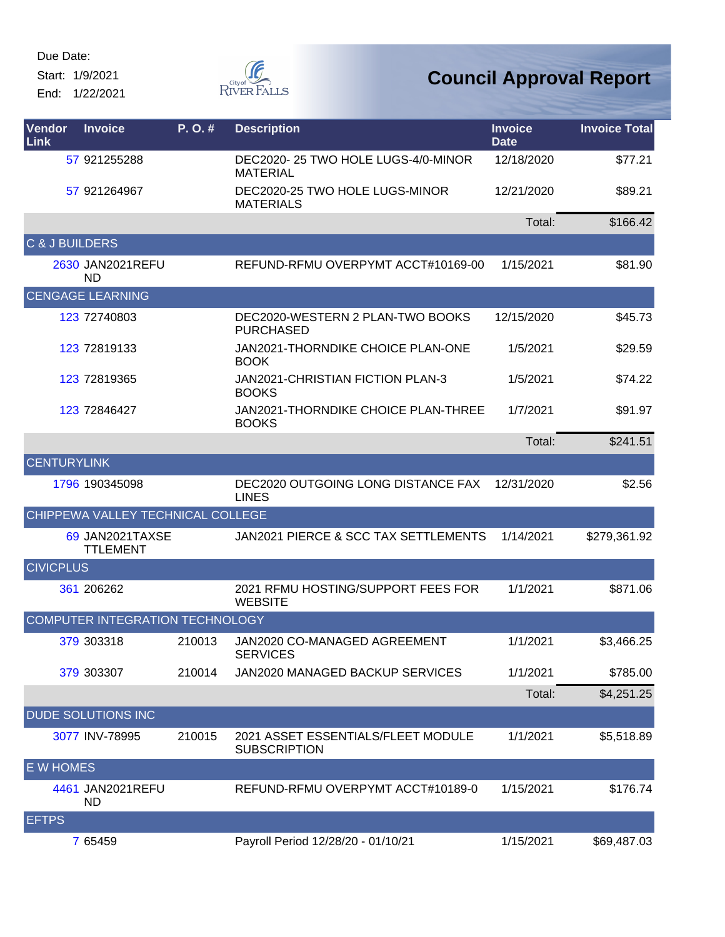Start: 1/9/2021

End: 1/22/2021



| Vendor<br><b>Link</b> | <b>Invoice</b>                     | P.O.#  | <b>Description</b>                                        | <b>Invoice</b><br><b>Date</b> | <b>Invoice Total</b> |
|-----------------------|------------------------------------|--------|-----------------------------------------------------------|-------------------------------|----------------------|
|                       | 57 921255288                       |        | DEC2020-25 TWO HOLE LUGS-4/0-MINOR<br><b>MATERIAL</b>     | 12/18/2020                    | \$77.21              |
|                       | 57 921264967                       |        | DEC2020-25 TWO HOLE LUGS-MINOR<br><b>MATERIALS</b>        | 12/21/2020                    | \$89.21              |
|                       |                                    |        |                                                           | Total:                        | \$166.42             |
| C & J BUILDERS        |                                    |        |                                                           |                               |                      |
|                       | 2630 JAN2021REFU<br><b>ND</b>      |        | REFUND-RFMU OVERPYMT ACCT#10169-00                        | 1/15/2021                     | \$81.90              |
|                       | <b>CENGAGE LEARNING</b>            |        |                                                           |                               |                      |
|                       | 123 72740803                       |        | DEC2020-WESTERN 2 PLAN-TWO BOOKS<br><b>PURCHASED</b>      | 12/15/2020                    | \$45.73              |
|                       | 123 72819133                       |        | JAN2021-THORNDIKE CHOICE PLAN-ONE<br><b>BOOK</b>          | 1/5/2021                      | \$29.59              |
|                       | 123 72819365                       |        | JAN2021-CHRISTIAN FICTION PLAN-3<br><b>BOOKS</b>          | 1/5/2021                      | \$74.22              |
|                       | 123 72846427                       |        | JAN2021-THORNDIKE CHOICE PLAN-THREE<br><b>BOOKS</b>       | 1/7/2021                      | \$91.97              |
|                       |                                    |        |                                                           | Total:                        | \$241.51             |
| <b>CENTURYLINK</b>    |                                    |        |                                                           |                               |                      |
|                       | 1796 190345098                     |        | DEC2020 OUTGOING LONG DISTANCE FAX<br><b>LINES</b>        | 12/31/2020                    | \$2.56               |
|                       | CHIPPEWA VALLEY TECHNICAL COLLEGE  |        |                                                           |                               |                      |
|                       | 69 JAN2021TAXSE<br><b>TTLEMENT</b> |        | JAN2021 PIERCE & SCC TAX SETTLEMENTS                      | 1/14/2021                     | \$279,361.92         |
| <b>CIVICPLUS</b>      |                                    |        |                                                           |                               |                      |
|                       | 361 206262                         |        | 2021 RFMU HOSTING/SUPPORT FEES FOR<br><b>WEBSITE</b>      | 1/1/2021                      | \$871.06             |
|                       | COMPUTER INTEGRATION TECHNOLOGY    |        |                                                           |                               |                      |
|                       | 379 303318                         | 210013 | JAN2020 CO-MANAGED AGREEMENT<br><b>SERVICES</b>           | 1/1/2021                      | \$3,466.25           |
|                       | 379 303307                         | 210014 | JAN2020 MANAGED BACKUP SERVICES                           | 1/1/2021                      | \$785.00             |
|                       |                                    |        |                                                           | Total:                        | \$4,251.25           |
|                       | <b>DUDE SOLUTIONS INC</b>          |        |                                                           |                               |                      |
|                       | 3077 INV-78995                     | 210015 | 2021 ASSET ESSENTIALS/FLEET MODULE<br><b>SUBSCRIPTION</b> | 1/1/2021                      | \$5,518.89           |
| <b>E W HOMES</b>      |                                    |        |                                                           |                               |                      |
|                       | 4461 JAN2021REFU<br><b>ND</b>      |        | REFUND-RFMU OVERPYMT ACCT#10189-0                         | 1/15/2021                     | \$176.74             |
| <b>EFTPS</b>          |                                    |        |                                                           |                               |                      |
|                       | 7 65459                            |        | Payroll Period 12/28/20 - 01/10/21                        | 1/15/2021                     | \$69,487.03          |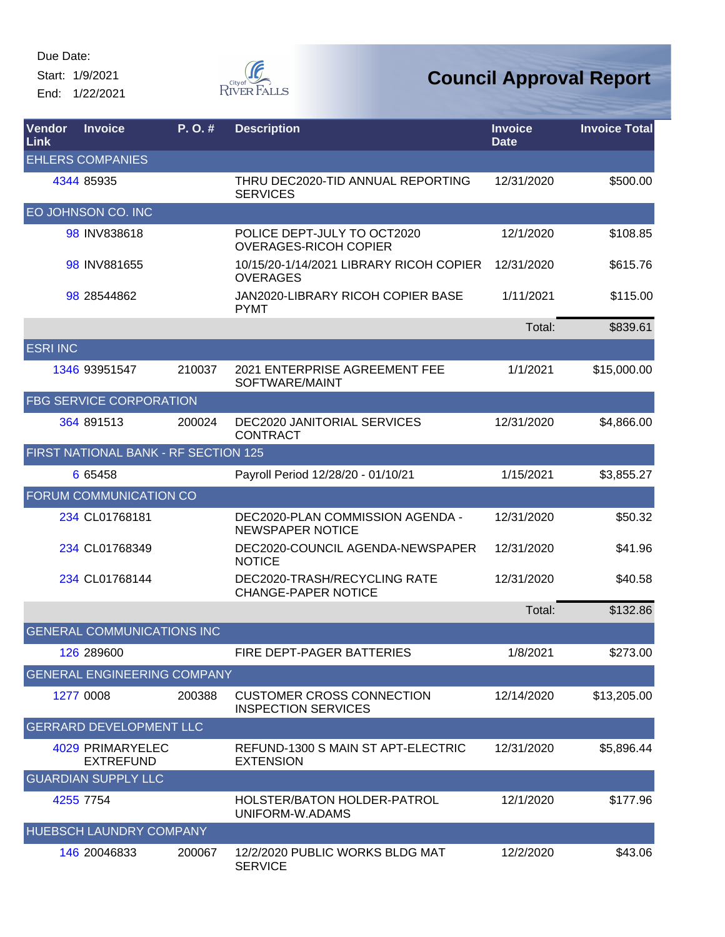Start: 1/9/2021 End: 1/22/2021



| <b>Vendor</b><br>Link | <b>Invoice</b>                       | P. O. # | <b>Description</b>                                             | <b>Invoice</b><br><b>Date</b> | <b>Invoice Total</b> |
|-----------------------|--------------------------------------|---------|----------------------------------------------------------------|-------------------------------|----------------------|
|                       | <b>EHLERS COMPANIES</b>              |         |                                                                |                               |                      |
|                       | 4344 85935                           |         | THRU DEC2020-TID ANNUAL REPORTING<br><b>SERVICES</b>           | 12/31/2020                    | \$500.00             |
|                       | EO JOHNSON CO. INC                   |         |                                                                |                               |                      |
|                       | 98 INV838618                         |         | POLICE DEPT-JULY TO OCT2020<br><b>OVERAGES-RICOH COPIER</b>    | 12/1/2020                     | \$108.85             |
|                       | 98 INV881655                         |         | 10/15/20-1/14/2021 LIBRARY RICOH COPIER<br><b>OVERAGES</b>     | 12/31/2020                    | \$615.76             |
|                       | 98 28544862                          |         | JAN2020-LIBRARY RICOH COPIER BASE<br><b>PYMT</b>               | 1/11/2021                     | \$115.00             |
|                       |                                      |         |                                                                | Total:                        | \$839.61             |
| <b>ESRI INC</b>       |                                      |         |                                                                |                               |                      |
|                       | 1346 93951547                        | 210037  | 2021 ENTERPRISE AGREEMENT FEE<br>SOFTWARE/MAINT                | 1/1/2021                      | \$15,000.00          |
|                       | <b>FBG SERVICE CORPORATION</b>       |         |                                                                |                               |                      |
|                       | 364 891513                           | 200024  | DEC2020 JANITORIAL SERVICES<br><b>CONTRACT</b>                 | 12/31/2020                    | \$4,866.00           |
|                       | FIRST NATIONAL BANK - RF SECTION 125 |         |                                                                |                               |                      |
|                       | 6 65458                              |         | Payroll Period 12/28/20 - 01/10/21                             | 1/15/2021                     | \$3,855.27           |
|                       | FORUM COMMUNICATION CO               |         |                                                                |                               |                      |
|                       | 234 CL01768181                       |         | DEC2020-PLAN COMMISSION AGENDA -<br><b>NEWSPAPER NOTICE</b>    | 12/31/2020                    | \$50.32              |
|                       | 234 CL01768349                       |         | DEC2020-COUNCIL AGENDA-NEWSPAPER<br><b>NOTICE</b>              | 12/31/2020                    | \$41.96              |
|                       | 234 CL01768144                       |         | DEC2020-TRASH/RECYCLING RATE<br><b>CHANGE-PAPER NOTICE</b>     | 12/31/2020                    | \$40.58              |
|                       |                                      |         |                                                                | Total:                        | \$132.86             |
|                       | <b>GENERAL COMMUNICATIONS INC</b>    |         |                                                                |                               |                      |
|                       | 126 289600                           |         | FIRE DEPT-PAGER BATTERIES                                      | 1/8/2021                      | \$273.00             |
|                       | <b>GENERAL ENGINEERING COMPANY</b>   |         |                                                                |                               |                      |
|                       | 1277 0008                            | 200388  | <b>CUSTOMER CROSS CONNECTION</b><br><b>INSPECTION SERVICES</b> | 12/14/2020                    | \$13,205.00          |
|                       | <b>GERRARD DEVELOPMENT LLC</b>       |         |                                                                |                               |                      |
|                       | 4029 PRIMARYELEC<br><b>EXTREFUND</b> |         | REFUND-1300 S MAIN ST APT-ELECTRIC<br><b>EXTENSION</b>         | 12/31/2020                    | \$5,896.44           |
|                       | <b>GUARDIAN SUPPLY LLC</b>           |         |                                                                |                               |                      |
|                       | 4255 7754                            |         | HOLSTER/BATON HOLDER-PATROL<br>UNIFORM-W.ADAMS                 | 12/1/2020                     | \$177.96             |
|                       | HUEBSCH LAUNDRY COMPANY              |         |                                                                |                               |                      |
|                       | 146 20046833                         | 200067  | 12/2/2020 PUBLIC WORKS BLDG MAT<br><b>SERVICE</b>              | 12/2/2020                     | \$43.06              |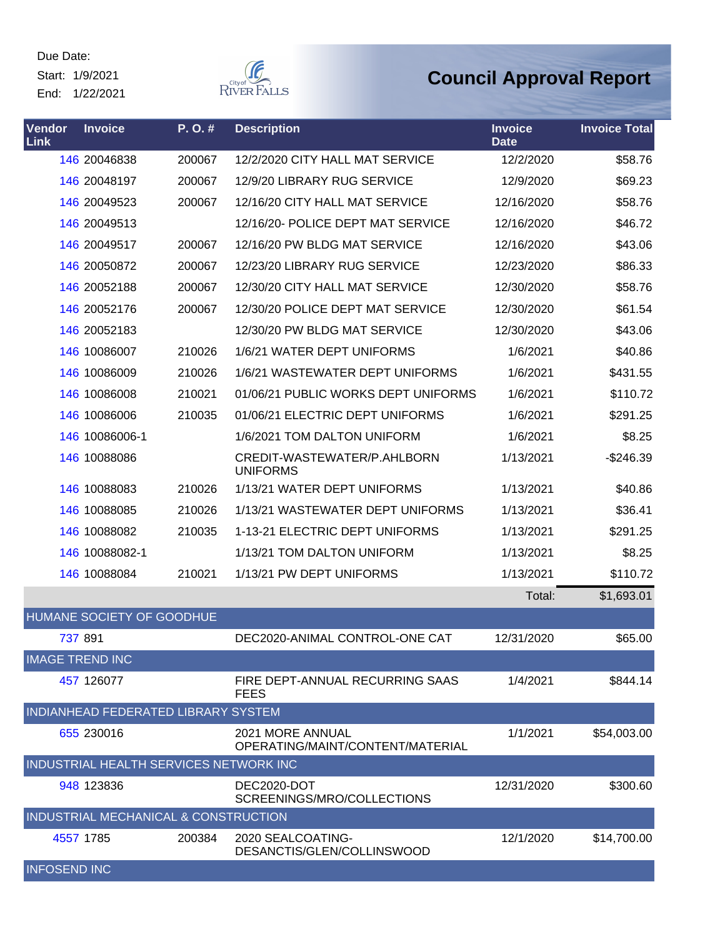Start: 1/9/2021

End: 1/22/2021



#### **Council Approval Report**

| Vendor<br>Link         | <b>Invoice</b>                         | P.O.#  | <b>Description</b>                                   | <b>Invoice</b><br><b>Date</b> | <b>Invoice Total</b> |
|------------------------|----------------------------------------|--------|------------------------------------------------------|-------------------------------|----------------------|
|                        | 146 20046838                           | 200067 | 12/2/2020 CITY HALL MAT SERVICE                      | 12/2/2020                     | \$58.76              |
|                        | 146 20048197                           | 200067 | 12/9/20 LIBRARY RUG SERVICE                          | 12/9/2020                     | \$69.23              |
|                        | 146 20049523                           | 200067 | 12/16/20 CITY HALL MAT SERVICE                       | 12/16/2020                    | \$58.76              |
|                        | 146 20049513                           |        | 12/16/20- POLICE DEPT MAT SERVICE                    | 12/16/2020                    | \$46.72              |
|                        | 146 20049517                           | 200067 | 12/16/20 PW BLDG MAT SERVICE                         | 12/16/2020                    | \$43.06              |
|                        | 146 20050872                           | 200067 | 12/23/20 LIBRARY RUG SERVICE                         | 12/23/2020                    | \$86.33              |
|                        | 146 20052188                           | 200067 | 12/30/20 CITY HALL MAT SERVICE                       | 12/30/2020                    | \$58.76              |
|                        | 146 20052176                           | 200067 | 12/30/20 POLICE DEPT MAT SERVICE                     | 12/30/2020                    | \$61.54              |
|                        | 146 20052183                           |        | 12/30/20 PW BLDG MAT SERVICE                         | 12/30/2020                    | \$43.06              |
|                        | 146 10086007                           | 210026 | 1/6/21 WATER DEPT UNIFORMS                           | 1/6/2021                      | \$40.86              |
|                        | 146 10086009                           | 210026 | 1/6/21 WASTEWATER DEPT UNIFORMS                      | 1/6/2021                      | \$431.55             |
|                        | 146 10086008                           | 210021 | 01/06/21 PUBLIC WORKS DEPT UNIFORMS                  | 1/6/2021                      | \$110.72             |
|                        | 146 10086006                           | 210035 | 01/06/21 ELECTRIC DEPT UNIFORMS                      | 1/6/2021                      | \$291.25             |
|                        | 146 10086006-1                         |        | 1/6/2021 TOM DALTON UNIFORM                          | 1/6/2021                      | \$8.25               |
|                        | 146 10088086                           |        | CREDIT-WASTEWATER/P.AHLBORN<br><b>UNIFORMS</b>       | 1/13/2021                     | $-$246.39$           |
|                        | 146 10088083                           | 210026 | 1/13/21 WATER DEPT UNIFORMS                          | 1/13/2021                     | \$40.86              |
|                        | 146 10088085                           | 210026 | 1/13/21 WASTEWATER DEPT UNIFORMS                     | 1/13/2021                     | \$36.41              |
|                        | 146 10088082                           | 210035 | 1-13-21 ELECTRIC DEPT UNIFORMS                       | 1/13/2021                     | \$291.25             |
|                        | 146 10088082-1                         |        | 1/13/21 TOM DALTON UNIFORM                           | 1/13/2021                     | \$8.25               |
|                        | 146 10088084                           | 210021 | 1/13/21 PW DEPT UNIFORMS                             | 1/13/2021                     | \$110.72             |
|                        |                                        |        |                                                      | Total:                        | \$1,693.01           |
|                        | <b>HUMANE SOCIETY OF GOODHUE</b>       |        |                                                      |                               |                      |
| 737 891                |                                        |        | DEC2020-ANIMAL CONTROL-ONE CAT                       | 12/31/2020                    | \$65.00              |
| <b>IMAGE TREND INC</b> |                                        |        |                                                      |                               |                      |
|                        | 457 126077                             |        | FIRE DEPT-ANNUAL RECURRING SAAS<br><b>FEES</b>       | 1/4/2021                      | \$844.14             |
|                        | INDIANHEAD FEDERATED LIBRARY SYSTEM    |        |                                                      |                               |                      |
|                        | 655 230016                             |        | 2021 MORE ANNUAL<br>OPERATING/MAINT/CONTENT/MATERIAL | 1/1/2021                      | \$54,003.00          |
|                        | INDUSTRIAL HEALTH SERVICES NETWORK INC |        |                                                      |                               |                      |
|                        | 948 123836                             |        | DEC2020-DOT<br>SCREENINGS/MRO/COLLECTIONS            | 12/31/2020                    | \$300.60             |
|                        | INDUSTRIAL MECHANICAL & CONSTRUCTION   |        |                                                      |                               |                      |
|                        | 4557 1785                              | 200384 | 2020 SEALCOATING-<br>DESANCTIS/GLEN/COLLINSWOOD      | 12/1/2020                     | \$14,700.00          |

INFOSEND INC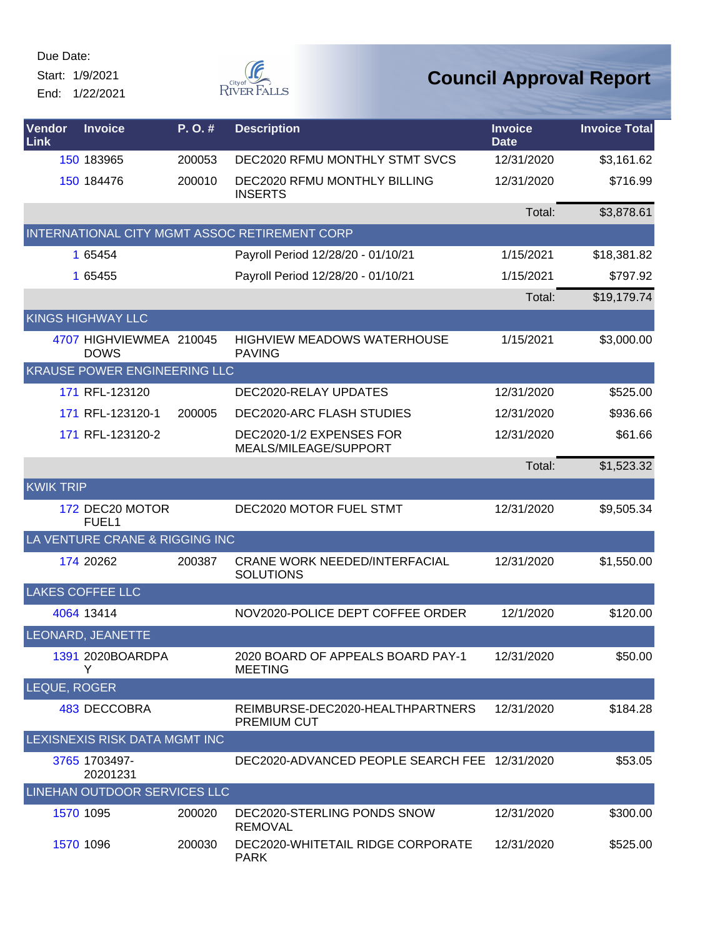Start: 1/9/2021

End: 1/22/2021



| <b>Vendor</b><br><b>Link</b> | <b>Invoice</b>                         | P.O.#  | <b>Description</b>                                       | <b>Invoice</b><br><b>Date</b> | <b>Invoice Total</b> |
|------------------------------|----------------------------------------|--------|----------------------------------------------------------|-------------------------------|----------------------|
|                              | 150 183965                             | 200053 | DEC2020 RFMU MONTHLY STMT SVCS                           | 12/31/2020                    | \$3,161.62           |
|                              | 150 184476                             | 200010 | DEC2020 RFMU MONTHLY BILLING<br><b>INSERTS</b>           | 12/31/2020                    | \$716.99             |
|                              |                                        |        |                                                          | Total:                        | \$3,878.61           |
|                              |                                        |        | INTERNATIONAL CITY MGMT ASSOC RETIREMENT CORP            |                               |                      |
|                              | 1 65454                                |        | Payroll Period 12/28/20 - 01/10/21                       | 1/15/2021                     | \$18,381.82          |
|                              | 1 65455                                |        | Payroll Period 12/28/20 - 01/10/21                       | 1/15/2021                     | \$797.92             |
|                              |                                        |        |                                                          | Total:                        | \$19,179.74          |
|                              | <b>KINGS HIGHWAY LLC</b>               |        |                                                          |                               |                      |
|                              | 4707 HIGHVIEWMEA 210045<br><b>DOWS</b> |        | <b>HIGHVIEW MEADOWS WATERHOUSE</b><br><b>PAVING</b>      | 1/15/2021                     | \$3,000.00           |
|                              | <b>KRAUSE POWER ENGINEERING LLC</b>    |        |                                                          |                               |                      |
|                              | 171 RFL-123120                         |        | DEC2020-RELAY UPDATES                                    | 12/31/2020                    | \$525.00             |
|                              | 171 RFL-123120-1                       | 200005 | DEC2020-ARC FLASH STUDIES                                | 12/31/2020                    | \$936.66             |
|                              | 171 RFL-123120-2                       |        | DEC2020-1/2 EXPENSES FOR<br>MEALS/MILEAGE/SUPPORT        | 12/31/2020                    | \$61.66              |
|                              |                                        |        |                                                          | Total:                        | \$1,523.32           |
| <b>KWIK TRIP</b>             |                                        |        |                                                          |                               |                      |
|                              | 172 DEC20 MOTOR<br>FUEL1               |        | DEC2020 MOTOR FUEL STMT                                  | 12/31/2020                    | \$9,505.34           |
|                              | LA VENTURE CRANE & RIGGING INC         |        |                                                          |                               |                      |
|                              | 174 20262                              | 200387 | <b>CRANE WORK NEEDED/INTERFACIAL</b><br><b>SOLUTIONS</b> | 12/31/2020                    | \$1,550.00           |
|                              | <b>LAKES COFFEE LLC</b>                |        |                                                          |                               |                      |
|                              | 4064 13414                             |        | NOV2020-POLICE DEPT COFFEE ORDER                         | 12/1/2020                     | \$120.00             |
|                              | LEONARD, JEANETTE                      |        |                                                          |                               |                      |
|                              | 1391 2020BOARDPA<br>Y                  |        | 2020 BOARD OF APPEALS BOARD PAY-1<br><b>MEETING</b>      | 12/31/2020                    | \$50.00              |
| LEQUE, ROGER                 |                                        |        |                                                          |                               |                      |
|                              | 483 DECCOBRA                           |        | REIMBURSE-DEC2020-HEALTHPARTNERS<br><b>PREMIUM CUT</b>   | 12/31/2020                    | \$184.28             |
|                              | LEXISNEXIS RISK DATA MGMT INC          |        |                                                          |                               |                      |
|                              | 3765 1703497-<br>20201231              |        | DEC2020-ADVANCED PEOPLE SEARCH FEE 12/31/2020            |                               | \$53.05              |
|                              | LINEHAN OUTDOOR SERVICES LLC           |        |                                                          |                               |                      |
|                              | 1570 1095                              | 200020 | DEC2020-STERLING PONDS SNOW<br><b>REMOVAL</b>            | 12/31/2020                    | \$300.00             |
|                              | 1570 1096                              | 200030 | DEC2020-WHITETAIL RIDGE CORPORATE<br><b>PARK</b>         | 12/31/2020                    | \$525.00             |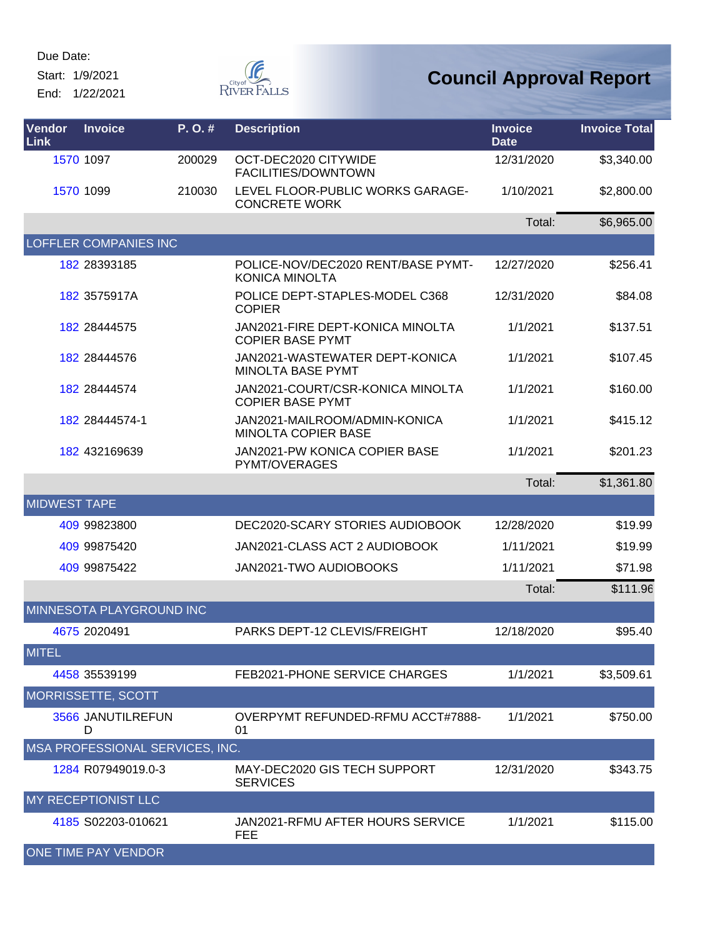Start: 1/9/2021

End: 1/22/2021



| Vendor<br><b>Link</b> | <b>Invoice</b>                  | P.O.#  | <b>Description</b>                                          | <b>Invoice</b><br><b>Date</b> | <b>Invoice Total</b> |
|-----------------------|---------------------------------|--------|-------------------------------------------------------------|-------------------------------|----------------------|
|                       | 1570 1097                       | 200029 | OCT-DEC2020 CITYWIDE<br>FACILITIES/DOWNTOWN                 | 12/31/2020                    | \$3,340.00           |
|                       | 1570 1099                       | 210030 | LEVEL FLOOR-PUBLIC WORKS GARAGE-<br><b>CONCRETE WORK</b>    | 1/10/2021                     | \$2,800.00           |
|                       |                                 |        |                                                             | Total:                        | \$6,965.00           |
|                       | <b>LOFFLER COMPANIES INC</b>    |        |                                                             |                               |                      |
|                       | 182 28393185                    |        | POLICE-NOV/DEC2020 RENT/BASE PYMT-<br><b>KONICA MINOLTA</b> | 12/27/2020                    | \$256.41             |
|                       | 182 3575917A                    |        | POLICE DEPT-STAPLES-MODEL C368<br><b>COPIER</b>             | 12/31/2020                    | \$84.08              |
|                       | 182 28444575                    |        | JAN2021-FIRE DEPT-KONICA MINOLTA<br><b>COPIER BASE PYMT</b> | 1/1/2021                      | \$137.51             |
|                       | 182 28444576                    |        | JAN2021-WASTEWATER DEPT-KONICA<br><b>MINOLTA BASE PYMT</b>  | 1/1/2021                      | \$107.45             |
|                       | 182 28444574                    |        | JAN2021-COURT/CSR-KONICA MINOLTA<br><b>COPIER BASE PYMT</b> | 1/1/2021                      | \$160.00             |
|                       | 182 28444574-1                  |        | JAN2021-MAILROOM/ADMIN-KONICA<br><b>MINOLTA COPIER BASE</b> | 1/1/2021                      | \$415.12             |
|                       | 182 432169639                   |        | JAN2021-PW KONICA COPIER BASE<br>PYMT/OVERAGES              | 1/1/2021                      | \$201.23             |
|                       |                                 |        |                                                             | Total:                        | \$1,361.80           |
| <b>MIDWEST TAPE</b>   |                                 |        |                                                             |                               |                      |
|                       | 409 99823800                    |        | DEC2020-SCARY STORIES AUDIOBOOK                             | 12/28/2020                    | \$19.99              |
|                       | 409 99875420                    |        | JAN2021-CLASS ACT 2 AUDIOBOOK                               | 1/11/2021                     | \$19.99              |
|                       | 409 99875422                    |        | JAN2021-TWO AUDIOBOOKS                                      | 1/11/2021                     | \$71.98              |
|                       |                                 |        |                                                             | Total:                        | \$111.96             |
|                       | MINNESOTA PLAYGROUND INC        |        |                                                             |                               |                      |
|                       | 4675 2020491                    |        | PARKS DEPT-12 CLEVIS/FREIGHT                                | 12/18/2020                    | \$95.40              |
| <b>MITEL</b>          |                                 |        |                                                             |                               |                      |
|                       | 4458 35539199                   |        | FEB2021-PHONE SERVICE CHARGES                               | 1/1/2021                      | \$3,509.61           |
|                       | MORRISSETTE, SCOTT              |        |                                                             |                               |                      |
|                       | 3566 JANUTILREFUN<br>D          |        | OVERPYMT REFUNDED-RFMU ACCT#7888-<br>01                     | 1/1/2021                      | \$750.00             |
|                       | MSA PROFESSIONAL SERVICES, INC. |        |                                                             |                               |                      |
|                       | 1284 R07949019.0-3              |        | MAY-DEC2020 GIS TECH SUPPORT<br><b>SERVICES</b>             | 12/31/2020                    | \$343.75             |
|                       | MY RECEPTIONIST LLC             |        |                                                             |                               |                      |
|                       | 4185 S02203-010621              |        | JAN2021-RFMU AFTER HOURS SERVICE<br>FEE                     | 1/1/2021                      | \$115.00             |
|                       | ONE TIME PAY VENDOR             |        |                                                             |                               |                      |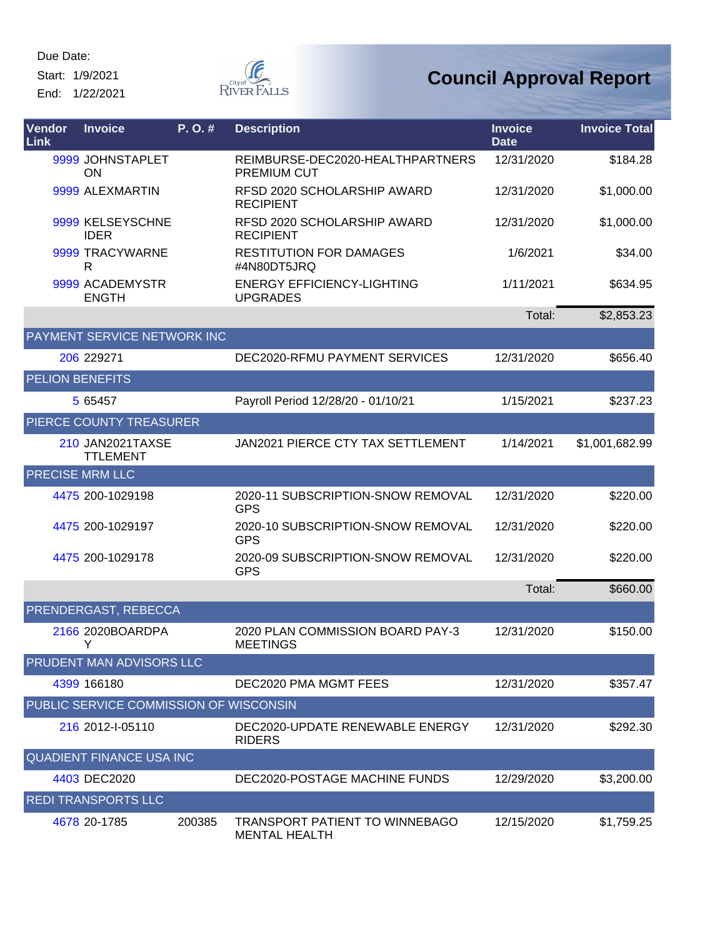Start: 1/9/2021

End: 1/22/2021



| Vendor<br>Link         | <b>Invoice</b>                         | P.O.#  | <b>Description</b>                                     | <b>Invoice</b><br><b>Date</b> | <b>Invoice Total</b> |
|------------------------|----------------------------------------|--------|--------------------------------------------------------|-------------------------------|----------------------|
|                        | 9999 JOHNSTAPLET<br>ON                 |        | REIMBURSE-DEC2020-HEALTHPARTNERS<br><b>PREMIUM CUT</b> | 12/31/2020                    | \$184.28             |
|                        | 9999 ALEXMARTIN                        |        | RFSD 2020 SCHOLARSHIP AWARD<br><b>RECIPIENT</b>        | 12/31/2020                    | \$1,000.00           |
|                        | 9999 KELSEYSCHNE<br><b>IDER</b>        |        | RFSD 2020 SCHOLARSHIP AWARD<br><b>RECIPIENT</b>        | 12/31/2020                    | \$1,000.00           |
|                        | 9999 TRACYWARNE<br>R                   |        | <b>RESTITUTION FOR DAMAGES</b><br>#4N80DT5JRQ          | 1/6/2021                      | \$34.00              |
|                        | 9999 ACADEMYSTR<br><b>ENGTH</b>        |        | <b>ENERGY EFFICIENCY-LIGHTING</b><br><b>UPGRADES</b>   | 1/11/2021                     | \$634.95             |
|                        |                                        |        |                                                        | Total:                        | \$2,853.23           |
|                        | PAYMENT SERVICE NETWORK INC            |        |                                                        |                               |                      |
|                        | 206 229271                             |        | DEC2020-RFMU PAYMENT SERVICES                          | 12/31/2020                    | \$656.40             |
| <b>PELION BENEFITS</b> |                                        |        |                                                        |                               |                      |
|                        | 5 6 5 4 5 7                            |        | Payroll Period 12/28/20 - 01/10/21                     | 1/15/2021                     | \$237.23             |
|                        | PIERCE COUNTY TREASURER                |        |                                                        |                               |                      |
|                        | 210 JAN2021TAXSE<br><b>TTLEMENT</b>    |        | <b>JAN2021 PIERCE CTY TAX SETTLEMENT</b>               | 1/14/2021                     | \$1,001,682.99       |
| <b>PRECISE MRM LLC</b> |                                        |        |                                                        |                               |                      |
|                        | 4475 200-1029198                       |        | 2020-11 SUBSCRIPTION-SNOW REMOVAL<br><b>GPS</b>        | 12/31/2020                    | \$220.00             |
|                        | 4475 200-1029197                       |        | 2020-10 SUBSCRIPTION-SNOW REMOVAL<br><b>GPS</b>        | 12/31/2020                    | \$220.00             |
|                        | 4475 200-1029178                       |        | 2020-09 SUBSCRIPTION-SNOW REMOVAL<br><b>GPS</b>        | 12/31/2020                    | \$220.00             |
|                        |                                        |        |                                                        | Total:                        | \$660.00             |
|                        | PRENDERGAST, REBECCA                   |        |                                                        |                               |                      |
|                        | 2166 2020BOARDPA<br>Y.                 |        | 2020 PLAN COMMISSION BOARD PAY-3<br><b>MEETINGS</b>    | 12/31/2020                    | \$150.00             |
|                        | PRUDENT MAN ADVISORS LLC               |        |                                                        |                               |                      |
|                        | 4399 166180                            |        | DEC2020 PMA MGMT FEES                                  | 12/31/2020                    | \$357.47             |
|                        | PUBLIC SERVICE COMMISSION OF WISCONSIN |        |                                                        |                               |                      |
|                        | 216 2012-1-05110                       |        | DEC2020-UPDATE RENEWABLE ENERGY<br><b>RIDERS</b>       | 12/31/2020                    | \$292.30             |
|                        | <b>QUADIENT FINANCE USA INC</b>        |        |                                                        |                               |                      |
|                        | 4403 DEC2020                           |        | DEC2020-POSTAGE MACHINE FUNDS                          | 12/29/2020                    | \$3,200.00           |
|                        | <b>REDI TRANSPORTS LLC</b>             |        |                                                        |                               |                      |
|                        | 4678 20-1785                           | 200385 | TRANSPORT PATIENT TO WINNEBAGO<br><b>MENTAL HEALTH</b> | 12/15/2020                    | \$1,759.25           |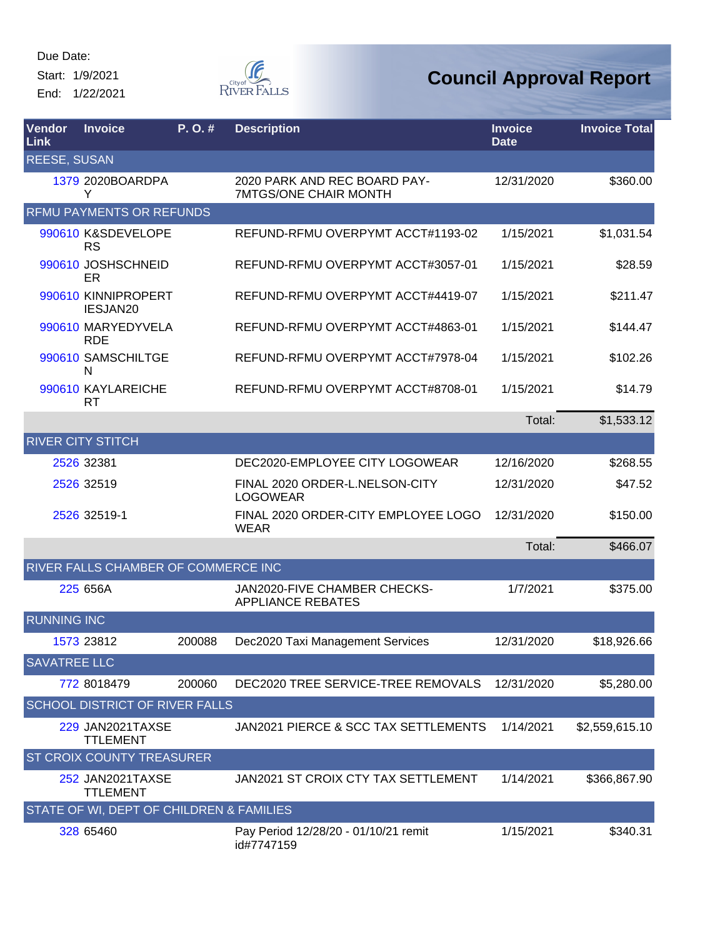Start: 1/9/2021 End: 1/22/2021



| <b>Vendor</b><br>Link | <b>Invoice</b>                           | P.O.#  | <b>Description</b>                                           | <b>Invoice</b><br><b>Date</b> | <b>Invoice Total</b> |
|-----------------------|------------------------------------------|--------|--------------------------------------------------------------|-------------------------------|----------------------|
| <b>REESE, SUSAN</b>   |                                          |        |                                                              |                               |                      |
|                       | 1379 2020BOARDPA<br>Y                    |        | 2020 PARK AND REC BOARD PAY-<br><b>7MTGS/ONE CHAIR MONTH</b> | 12/31/2020                    | \$360.00             |
|                       | <b>RFMU PAYMENTS OR REFUNDS</b>          |        |                                                              |                               |                      |
|                       | 990610 K&SDEVELOPE<br><b>RS</b>          |        | REFUND-RFMU OVERPYMT ACCT#1193-02                            | 1/15/2021                     | \$1,031.54           |
|                       | 990610 JOSHSCHNEID<br>ER                 |        | REFUND-RFMU OVERPYMT ACCT#3057-01                            | 1/15/2021                     | \$28.59              |
|                       | 990610 KINNIPROPERT<br>IESJAN20          |        | REFUND-RFMU OVERPYMT ACCT#4419-07                            | 1/15/2021                     | \$211.47             |
|                       | 990610 MARYEDYVELA<br><b>RDE</b>         |        | REFUND-RFMU OVERPYMT ACCT#4863-01                            | 1/15/2021                     | \$144.47             |
|                       | 990610 SAMSCHILTGE<br>N                  |        | REFUND-RFMU OVERPYMT ACCT#7978-04                            | 1/15/2021                     | \$102.26             |
|                       | 990610 KAYLAREICHE<br>RT                 |        | REFUND-RFMU OVERPYMT ACCT#8708-01                            | 1/15/2021                     | \$14.79              |
|                       |                                          |        |                                                              | Total:                        | \$1,533.12           |
|                       | <b>RIVER CITY STITCH</b>                 |        |                                                              |                               |                      |
|                       | 2526 32381                               |        | DEC2020-EMPLOYEE CITY LOGOWEAR                               | 12/16/2020                    | \$268.55             |
|                       | 2526 32519                               |        | FINAL 2020 ORDER-L.NELSON-CITY<br><b>LOGOWEAR</b>            | 12/31/2020                    | \$47.52              |
|                       | 2526 32519-1                             |        | FINAL 2020 ORDER-CITY EMPLOYEE LOGO<br><b>WEAR</b>           | 12/31/2020                    | \$150.00             |
|                       |                                          |        |                                                              | Total:                        | \$466.07             |
|                       | RIVER FALLS CHAMBER OF COMMERCE INC      |        |                                                              |                               |                      |
|                       | 225 656A                                 |        | JAN2020-FIVE CHAMBER CHECKS-<br><b>APPLIANCE REBATES</b>     | 1/7/2021                      | \$375.00             |
| <b>RUNNING INC</b>    |                                          |        |                                                              |                               |                      |
|                       | 1573 23812                               | 200088 | Dec2020 Taxi Management Services                             | 12/31/2020                    | \$18,926.66          |
| <b>SAVATREE LLC</b>   |                                          |        |                                                              |                               |                      |
|                       | 772 8018479                              | 200060 | DEC2020 TREE SERVICE-TREE REMOVALS                           | 12/31/2020                    | \$5,280.00           |
|                       | <b>SCHOOL DISTRICT OF RIVER FALLS</b>    |        |                                                              |                               |                      |
|                       | 229 JAN2021TAXSE<br><b>TTLEMENT</b>      |        | JAN2021 PIERCE & SCC TAX SETTLEMENTS                         | 1/14/2021                     | \$2,559,615.10       |
|                       | ST CROIX COUNTY TREASURER                |        |                                                              |                               |                      |
|                       | 252 JAN2021TAXSE<br><b>TTLEMENT</b>      |        | JAN2021 ST CROIX CTY TAX SETTLEMENT                          | 1/14/2021                     | \$366,867.90         |
|                       | STATE OF WI, DEPT OF CHILDREN & FAMILIES |        |                                                              |                               |                      |
|                       | 328 65460                                |        | Pay Period 12/28/20 - 01/10/21 remit<br>id#7747159           | 1/15/2021                     | \$340.31             |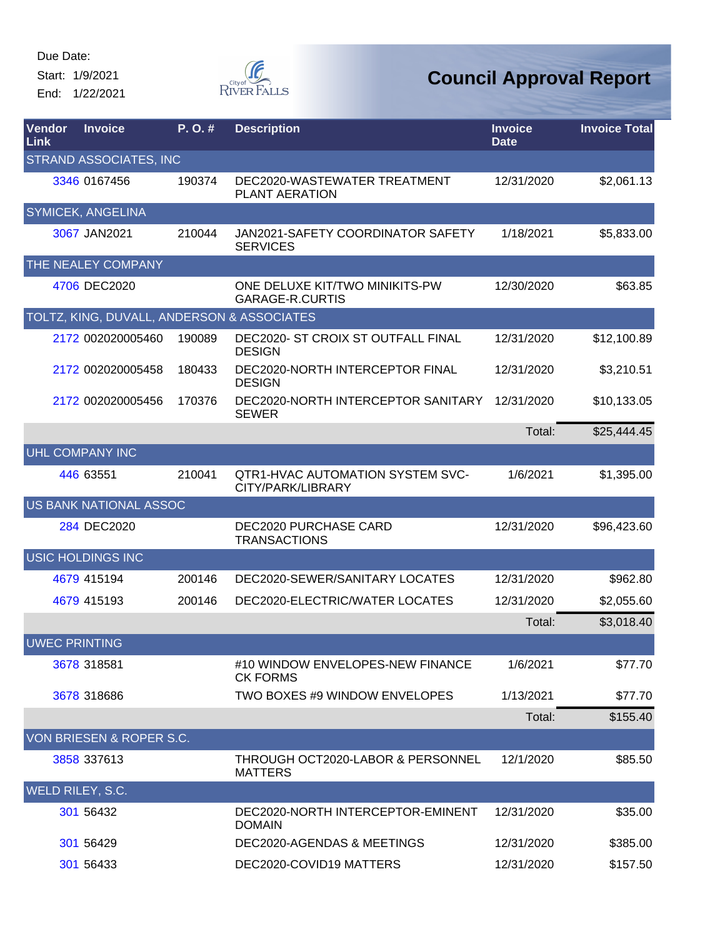Start: 1/9/2021 End: 1/22/2021



| Vendor<br><b>Link</b> | <b>Invoice</b>                             | P.O.#  | <b>Description</b>                                             | <b>Invoice</b><br><b>Date</b> | <b>Invoice Total</b> |
|-----------------------|--------------------------------------------|--------|----------------------------------------------------------------|-------------------------------|----------------------|
|                       | STRAND ASSOCIATES, INC                     |        |                                                                |                               |                      |
|                       | 3346 0167456                               | 190374 | DEC2020-WASTEWATER TREATMENT<br><b>PLANT AERATION</b>          | 12/31/2020                    | \$2,061.13           |
|                       | <b>SYMICEK, ANGELINA</b>                   |        |                                                                |                               |                      |
|                       | 3067 JAN2021                               | 210044 | JAN2021-SAFETY COORDINATOR SAFETY<br><b>SERVICES</b>           | 1/18/2021                     | \$5,833.00           |
|                       | THE NEALEY COMPANY                         |        |                                                                |                               |                      |
|                       | 4706 DEC2020                               |        | ONE DELUXE KIT/TWO MINIKITS-PW<br><b>GARAGE-R.CURTIS</b>       | 12/30/2020                    | \$63.85              |
|                       | TOLTZ, KING, DUVALL, ANDERSON & ASSOCIATES |        |                                                                |                               |                      |
|                       | 2172 002020005460                          | 190089 | DEC2020- ST CROIX ST OUTFALL FINAL<br><b>DESIGN</b>            | 12/31/2020                    | \$12,100.89          |
|                       | 2172 002020005458                          | 180433 | DEC2020-NORTH INTERCEPTOR FINAL<br><b>DESIGN</b>               | 12/31/2020                    | \$3,210.51           |
|                       | 2172 002020005456                          | 170376 | DEC2020-NORTH INTERCEPTOR SANITARY<br><b>SEWER</b>             | 12/31/2020                    | \$10,133.05          |
|                       |                                            |        |                                                                | Total:                        | \$25,444.45          |
|                       | UHL COMPANY INC                            |        |                                                                |                               |                      |
|                       | 446 63551                                  | 210041 | QTR1-HVAC AUTOMATION SYSTEM SVC-<br>CITY/PARK/LIBRARY          | 1/6/2021                      | \$1,395.00           |
|                       | US BANK NATIONAL ASSOC                     |        |                                                                |                               |                      |
|                       | 284 DEC2020                                |        | <b>DEC2020 PURCHASE CARD</b><br><b>TRANSACTIONS</b>            | 12/31/2020                    | \$96,423.60          |
|                       | <b>USIC HOLDINGS INC</b>                   |        |                                                                |                               |                      |
|                       | 4679 415194                                | 200146 | DEC2020-SEWER/SANITARY LOCATES                                 | 12/31/2020                    | \$962.80             |
|                       | 4679 415193                                | 200146 | DEC2020-ELECTRIC/WATER LOCATES                                 | 12/31/2020                    | \$2,055.60           |
|                       |                                            |        |                                                                | Total:                        | \$3,018.40           |
| <b>UWEC PRINTING</b>  |                                            |        |                                                                |                               |                      |
|                       | 3678 318581                                |        | #10 WINDOW ENVELOPES-NEW FINANCE<br><b>CK FORMS</b>            | 1/6/2021                      | \$77.70              |
|                       | 3678 318686                                |        | TWO BOXES #9 WINDOW ENVELOPES                                  | 1/13/2021                     | \$77.70              |
|                       |                                            |        |                                                                | Total:                        | \$155.40             |
|                       | VON BRIESEN & ROPER S.C.                   |        |                                                                |                               |                      |
|                       | 3858 337613                                |        | <b>THROUGH OCT2020-LABOR &amp; PERSONNEL</b><br><b>MATTERS</b> | 12/1/2020                     | \$85.50              |
| WELD RILEY, S.C.      |                                            |        |                                                                |                               |                      |
|                       | 301 56432                                  |        | DEC2020-NORTH INTERCEPTOR-EMINENT<br><b>DOMAIN</b>             | 12/31/2020                    | \$35.00              |
|                       | 301 56429                                  |        | DEC2020-AGENDAS & MEETINGS                                     | 12/31/2020                    | \$385.00             |
|                       | 301 56433                                  |        | DEC2020-COVID19 MATTERS                                        | 12/31/2020                    | \$157.50             |